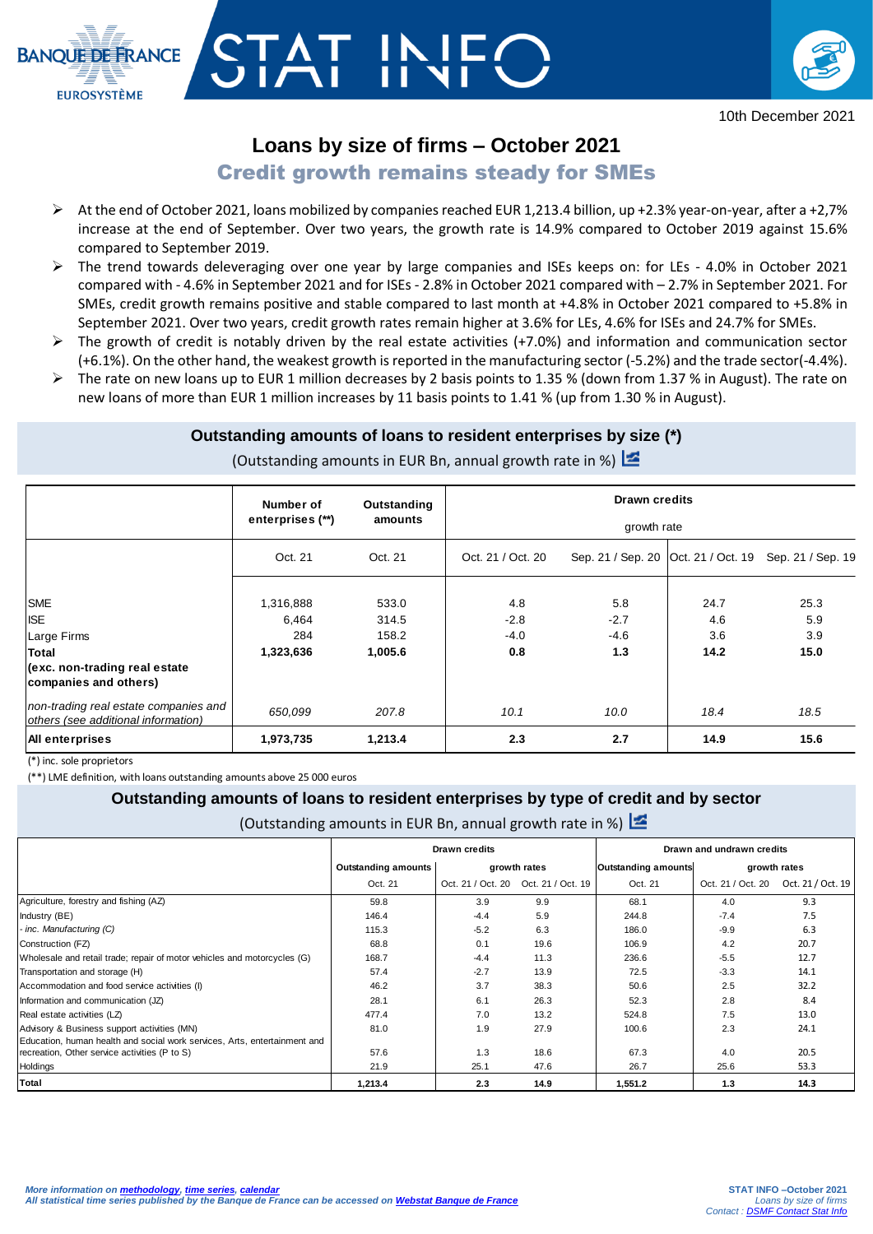

# **Loans by size of firms – October 2021**

## **Credit growth remains steady for SMEs**

- At the end of October 2021, loans mobilized by companies reached EUR 1,213.4 billion, up +2.3% year-on-year, after a +2,7% increase at the end of September. Over two years, the growth rate is 14.9% compared to October 2019 against 15.6% compared to September 2019.
- $\triangleright$  The trend towards deleveraging over one year by large companies and ISEs keeps on: for LEs 4.0% in October 2021 compared with - 4.6% in September 2021 and for ISEs - 2.8% in October 2021 compared with – 2.7% in September 2021. For SMEs, credit growth remains positive and stable compared to last month at +4.8% in October 2021 compared to +5.8% in September 2021. Over two years, credit growth rates remain higher at 3.6% for LEs, 4.6% for ISEs and 24.7% for SMEs.
- $\triangleright$  The growth of credit is notably driven by the real estate activities (+7.0%) and information and communication sector (+6.1%). On the other hand, the weakest growth is reported in the manufacturing sector (-5.2%) and the trade sector(-4.4%).
- $\triangleright$  The rate on new loans up to EUR 1 million decreases by 2 basis points to 1.35 % (down from 1.37 % in August). The rate on new loans of more than EUR 1 million increases by 11 basis points to 1.41 % (up from 1.30 % in August).

### **Outstanding amounts of loans to resident enterprises by size (\*)**

| (Outstanding amounts in EUR Bn, annual growth rate in %) |  |
|----------------------------------------------------------|--|
|----------------------------------------------------------|--|

|                                                                              | Number of          | Outstanding      | <b>Drawn credits</b><br>growth rate |               |             |                                                       |  |  |
|------------------------------------------------------------------------------|--------------------|------------------|-------------------------------------|---------------|-------------|-------------------------------------------------------|--|--|
|                                                                              | enterprises (**)   | amounts          |                                     |               |             |                                                       |  |  |
|                                                                              | Oct. 21            | Oct. 21          | Oct. 21 / Oct. 20                   |               |             | Sep. 21 / Sep. 20 Oct. 21 / Oct. 19 Sep. 21 / Sep. 19 |  |  |
| <b>SME</b><br><b>ISE</b>                                                     | 1,316,888<br>6,464 | 533.0<br>314.5   | 4.8<br>$-2.8$                       | 5.8<br>$-2.7$ | 24.7<br>4.6 | 25.3<br>5.9                                           |  |  |
| Large Firms<br>Total                                                         | 284<br>1,323,636   | 158.2<br>1,005.6 | $-4.0$<br>0.8                       | $-4.6$<br>1.3 | 3.6<br>14.2 | 3.9<br>15.0                                           |  |  |
| (exc. non-trading real estate)<br>companies and others)                      |                    |                  |                                     |               |             |                                                       |  |  |
| non-trading real estate companies and<br>others (see additional information) | 650,099            | 207.8            | 10.1                                | 10.0          | 18.4        | 18.5                                                  |  |  |
| <b>All enterprises</b>                                                       | 1,973,735          | 1,213.4          | 2.3                                 | 2.7           | 14.9        | 15.6                                                  |  |  |

(\*) inc. sole proprietors

**BANOUE DE ERANCE** 

**EUROSYSTÈME** 

(\*\*) LME definition, with loans outstanding amounts above 25 000 euros

#### **Outstanding amounts of loans to resident enterprises by type of credit and by sector**

(Outstanding amounts in EUR Bn, annual growth rate in %)  $\mathbb{Z}$ 

|                                                                                                                            |                            | <b>Drawn credits</b>                |      | Drawn and undrawn credits  |                   |                   |  |
|----------------------------------------------------------------------------------------------------------------------------|----------------------------|-------------------------------------|------|----------------------------|-------------------|-------------------|--|
|                                                                                                                            | <b>Outstanding amounts</b> | growth rates                        |      | <b>Outstanding amounts</b> |                   | growth rates      |  |
|                                                                                                                            | Oct. 21                    | Oct. 21 / Oct. 20 Oct. 21 / Oct. 19 |      | Oct. 21                    | Oct. 21 / Oct. 20 | Oct. 21 / Oct. 19 |  |
| Agriculture, forestry and fishing (AZ)                                                                                     | 59.8                       | 3.9                                 | 9.9  | 68.1                       | 4.0               | 9.3               |  |
| Industry (BE)                                                                                                              | 146.4                      | $-4.4$                              | 5.9  | 244.8                      | $-7.4$            | 7.5               |  |
| - inc. Manufacturing (C)                                                                                                   | 115.3                      | $-5.2$                              | 6.3  | 186.0                      | $-9.9$            | 6.3               |  |
| Construction (FZ)                                                                                                          | 68.8                       | 0.1                                 | 19.6 | 106.9                      | 4.2               | 20.7              |  |
| Wholesale and retail trade; repair of motor vehicles and motorcycles (G)                                                   | 168.7                      | $-4.4$                              | 11.3 | 236.6                      | $-5.5$            | 12.7              |  |
| Transportation and storage (H)                                                                                             | 57.4                       | $-2.7$                              | 13.9 | 72.5                       | $-3.3$            | 14.1              |  |
| Accommodation and food service activities (I)                                                                              | 46.2                       | 3.7                                 | 38.3 | 50.6                       | 2.5               | 32.2              |  |
| Information and communication (JZ)                                                                                         | 28.1                       | 6.1                                 | 26.3 | 52.3                       | 2.8               | 8.4               |  |
| Real estate activities (LZ)                                                                                                | 477.4                      | 7.0                                 | 13.2 | 524.8                      | 7.5               | 13.0              |  |
| Advisory & Business support activities (MN)                                                                                | 81.0                       | 1.9                                 | 27.9 | 100.6                      | 2.3               | 24.1              |  |
| Education, human health and social work services, Arts, entertainment and<br>recreation, Other service activities (P to S) | 57.6                       | 1.3                                 | 18.6 | 67.3                       | 4.0               | 20.5              |  |
| Holdings                                                                                                                   | 21.9                       | 25.1                                | 47.6 | 26.7                       | 25.6              | 53.3              |  |
| Total                                                                                                                      | 1.213.4                    | 2.3                                 | 14.9 | 1.551.2                    | 1.3               | 14.3              |  |